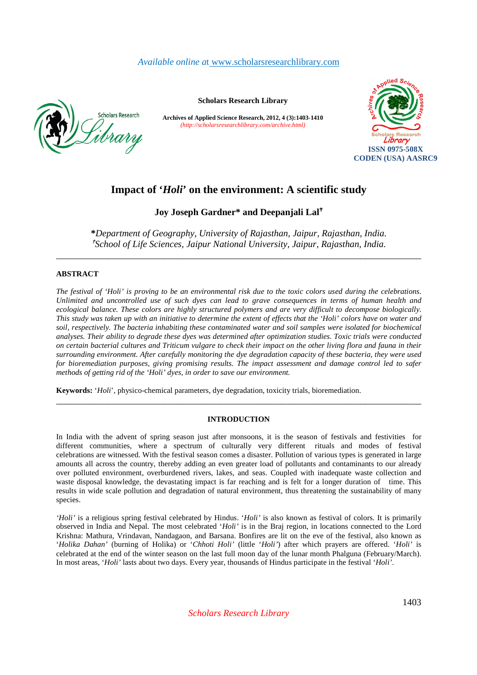*Available online a*t www.scholarsresearchlibrary.com



**Scholars Research Library** 

**Archives of Applied Science Research, 2012, 4 (3):1403-1410** *(http://scholarsresearchlibrary.com/archive.html)*



# **Impact of '***Holi***' on the environment: A scientific study**

**Joy Joseph Gardner\* and Deepanjali Lal**

**\****Department of Geography, University of Rajasthan, Jaipur, Rajasthan, India.*  <sup>*t*</sup>School of Life Sciences, Jaipur National University, Jaipur, Rajasthan, India.

\_\_\_\_\_\_\_\_\_\_\_\_\_\_\_\_\_\_\_\_\_\_\_\_\_\_\_\_\_\_\_\_\_\_\_\_\_\_\_\_\_\_\_\_\_\_\_\_\_\_\_\_\_\_\_\_\_\_\_\_\_\_\_\_\_\_\_\_\_\_\_\_\_\_\_\_\_\_

# **ABSTRACT**

*The festival of 'Holi' is proving to be an environmental risk due to the toxic colors used during the celebrations. Unlimited and uncontrolled use of such dyes can lead to grave consequences in terms of human health and ecological balance. These colors are highly structured polymers and are very difficult to decompose biologically. This study was taken up with an initiative to determine the extent of effects that the 'Holi' colors have on water and soil, respectively. The bacteria inhabiting these contaminated water and soil samples were isolated for biochemical analyses. Their ability to degrade these dyes was determined after optimization studies. Toxic trials were conducted on certain bacterial cultures and Triticum vulgare to check their impact on the other living flora and fauna in their surrounding environment. After carefully monitoring the dye degradation capacity of these bacteria, they were used for bioremediation purposes, giving promising results. The impact assessment and damage control led to safer methods of getting rid of the 'Holi' dyes, in order to save our environment.* 

**Keywords:** '*Holi*', physico-chemical parameters, dye degradation, toxicity trials, bioremediation.

# **INTRODUCTION**

\_\_\_\_\_\_\_\_\_\_\_\_\_\_\_\_\_\_\_\_\_\_\_\_\_\_\_\_\_\_\_\_\_\_\_\_\_\_\_\_\_\_\_\_\_\_\_\_\_\_\_\_\_\_\_\_\_\_\_\_\_\_\_\_\_\_\_\_\_\_\_\_\_\_\_\_\_\_

In India with the advent of spring season just after monsoons, it is the season of festivals and festivities for different communities, where a spectrum of culturally very different rituals and modes of festival celebrations are witnessed. With the festival season comes a disaster. Pollution of various types is generated in large amounts all across the country, thereby adding an even greater load of pollutants and contaminants to our already over polluted environment, overburdened rivers, lakes, and seas. Coupled with inadequate waste collection and waste disposal knowledge, the devastating impact is far reaching and is felt for a longer duration of time. This results in wide scale pollution and degradation of natural environment, thus threatening the sustainability of many species.

*'Holi'* is a religious spring festival celebrated by Hindus. '*Holi'* is also known as festival of colors. It is primarily observed in India and Nepal. The most celebrated '*Holi'* is in the Braj region, in locations connected to the Lord Krishna: Mathura, Vrindavan, Nandagaon, and Barsana. Bonfires are lit on the eve of the festival, also known as '*Holika Dahan'* (burning of Holika) or '*Chhoti Holi'* (little '*Holi'*) after which prayers are offered. '*Holi'* is celebrated at the end of the winter season on the last full moon day of the lunar month Phalguna (February/March). In most areas, '*Holi'* lasts about two days. Every year, thousands of Hindus participate in the festival '*Holi'*.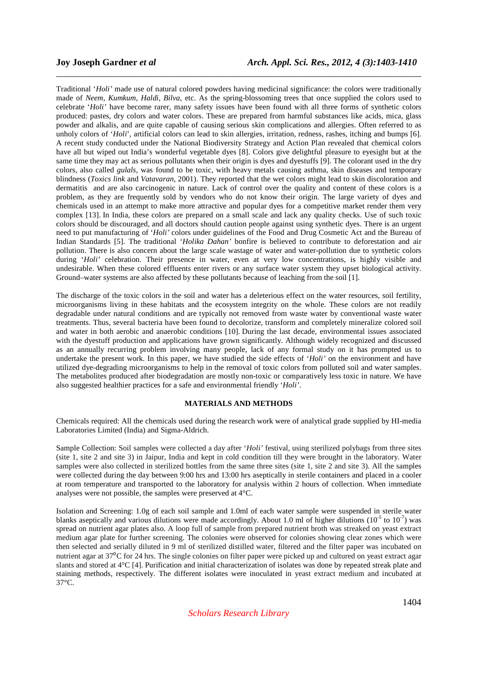Traditional '*Holi'* made use of natural colored powders having medicinal significance: the colors were traditionally made of *Neem, Kumkum, Haldi, Bilva*, etc. As the spring-blossoming trees that once supplied the colors used to celebrate '*Holi'* have become rarer, many safety issues have been found with all three forms of synthetic colors produced: pastes, dry colors and water colors. These are prepared from harmful substances like acids, mica, glass powder and alkalis, and are quite capable of causing serious skin complications and allergies. Often referred to as unholy colors of '*Holi*', artificial colors can lead to skin allergies, irritation, redness, rashes, itching and bumps [6]. A recent study conducted under the National Biodiversity Strategy and Action Plan revealed that chemical colors have all but wiped out India's wonderful vegetable dyes [8]. Colors give delightful pleasure to eyesight but at the same time they may act as serious pollutants when their origin is dyes and dyestuffs [9]. The colorant used in the dry colors, also called *gulals*, was found to be toxic, with heavy metals causing asthma, skin diseases and temporary blindness (*Toxics link* and *Vatavaran*, 2001). They reported that the wet colors might lead to skin discoloration and dermatitis and are also carcinogenic in nature. Lack of control over the quality and content of these colors is a problem, as they are frequently sold by vendors who do not know their origin. The large variety of dyes and chemicals used in an attempt to make more attractive and popular dyes for a competitive market render them very complex [13]. In India, these colors are prepared on a small scale and lack any quality checks. Use of such toxic colors should be discouraged, and all doctors should caution people against using synthetic dyes. There is an urgent need to put manufacturing of '*Holi'* colors under guidelines of the Food and Drug Cosmetic Act and the Bureau of Indian Standards [5]. The traditional '*Holika Dahan'* bonfire is believed to contribute to deforestation and air pollution. There is also concern about the large scale wastage of water and water-pollution due to synthetic colors during '*Holi'* celebration. Their presence in water, even at very low concentrations, is highly visible and undesirable. When these colored effluents enter rivers or any surface water system they upset biological activity. Ground–water systems are also affected by these pollutants because of leaching from the soil [1].

\_\_\_\_\_\_\_\_\_\_\_\_\_\_\_\_\_\_\_\_\_\_\_\_\_\_\_\_\_\_\_\_\_\_\_\_\_\_\_\_\_\_\_\_\_\_\_\_\_\_\_\_\_\_\_\_\_\_\_\_\_\_\_\_\_\_\_\_\_\_\_\_\_\_\_\_\_\_

The discharge of the toxic colors in the soil and water has a deleterious effect on the water resources, soil fertility, microorganisms living in these habitats and the ecosystem integrity on the whole. These colors are not readily degradable under natural conditions and are typically not removed from waste water by conventional waste water treatments. Thus, several bacteria have been found to decolorize, transform and completely mineralize colored soil and water in both aerobic and anaerobic conditions [10]. During the last decade, environmental issues associated with the dyestuff production and applications have grown significantly. Although widely recognized and discussed as an annually recurring problem involving many people, lack of any formal study on it has prompted us to undertake the present work. In this paper, we have studied the side effects of '*Holi'* on the environment and have utilized dye-degrading microorganisms to help in the removal of toxic colors from polluted soil and water samples. The metabolites produced after biodegradation are mostly non-toxic or comparatively less toxic in nature. We have also suggested healthier practices for a safe and environmental friendly '*Holi'*.

### **MATERIALS AND METHODS**

Chemicals required: All the chemicals used during the research work were of analytical grade supplied by HI-media Laboratories Limited (India) and Sigma-Aldrich.

Sample Collection: Soil samples were collected a day after '*Holi'* festival, using sterilized polybags from three sites (site 1, site 2 and site 3) in Jaipur, India and kept in cold condition till they were brought in the laboratory. Water samples were also collected in sterilized bottles from the same three sites (site 1, site 2 and site 3). All the samples were collected during the day between 9:00 hrs and 13:00 hrs aseptically in sterile containers and placed in a cooler at room temperature and transported to the laboratory for analysis within 2 hours of collection. When immediate analyses were not possible, the samples were preserved at 4°C.

Isolation and Screening: 1.0g of each soil sample and 1.0ml of each water sample were suspended in sterile water blanks aseptically and various dilutions were made accordingly. About 1.0 ml of higher dilutions (10<sup>-5</sup> to 10<sup>-7</sup>) was spread on nutrient agar plates also. A loop full of sample from prepared nutrient broth was streaked on yeast extract medium agar plate for further screening. The colonies were observed for colonies showing clear zones which were then selected and serially diluted in 9 ml of sterilized distilled water, filtered and the filter paper was incubated on nutrient agar at 37<sup>o</sup>C for 24 hrs. The single colonies on filter paper were picked up and cultured on yeast extract agar slants and stored at 4°C [4]. Purification and initial characterization of isolates was done by repeated streak plate and staining methods, respectively. The different isolates were inoculated in yeast extract medium and incubated at 37°C.

*Scholars Research Library*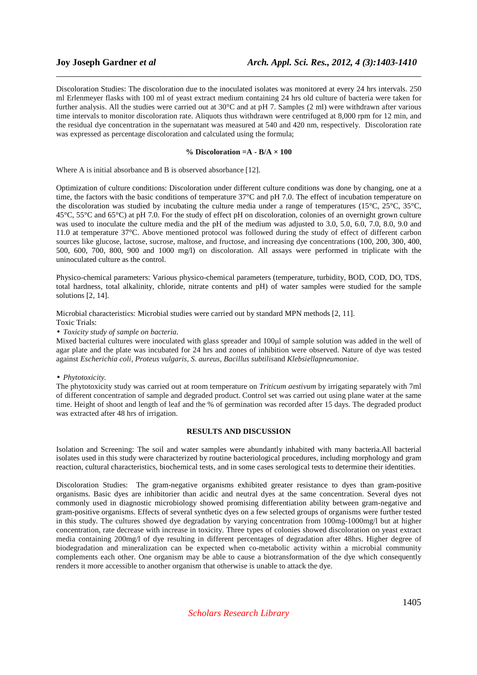Discoloration Studies: The discoloration due to the inoculated isolates was monitored at every 24 hrs intervals. 250 ml Erlenmeyer flasks with 100 ml of yeast extract medium containing 24 hrs old culture of bacteria were taken for further analysis. All the studies were carried out at 30°C and at pH 7. Samples (2 ml) were withdrawn after various time intervals to monitor discoloration rate. Aliquots thus withdrawn were centrifuged at 8,000 rpm for 12 min, and the residual dye concentration in the supernatant was measured at 540 and 420 nm, respectively. Discoloration rate was expressed as percentage discoloration and calculated using the formula;

\_\_\_\_\_\_\_\_\_\_\_\_\_\_\_\_\_\_\_\_\_\_\_\_\_\_\_\_\_\_\_\_\_\_\_\_\_\_\_\_\_\_\_\_\_\_\_\_\_\_\_\_\_\_\_\_\_\_\_\_\_\_\_\_\_\_\_\_\_\_\_\_\_\_\_\_\_\_

### **% Discoloration =A - B/A × 100**

Where A is initial absorbance and B is observed absorbance [12].

Optimization of culture conditions: Discoloration under different culture conditions was done by changing, one at a time, the factors with the basic conditions of temperature 37°C and pH 7.0. The effect of incubation temperature on the discoloration was studied by incubating the culture media under a range of temperatures (15°C, 25°C, 35°C, 45°C, 55°C and 65°C) at pH 7.0. For the study of effect pH on discoloration, colonies of an overnight grown culture was used to inoculate the culture media and the pH of the medium was adjusted to 3.0, 5.0, 6.0, 7.0, 8.0, 9.0 and 11.0 at temperature 37°C. Above mentioned protocol was followed during the study of effect of different carbon sources like glucose, lactose, sucrose, maltose, and fructose, and increasing dye concentrations (100, 200, 300, 400, 500, 600, 700, 800, 900 and 1000 mg/l) on discoloration. All assays were performed in triplicate with the uninoculated culture as the control.

Physico-chemical parameters: Various physico-chemical parameters (temperature, turbidity, BOD, COD, DO, TDS, total hardness, total alkalinity, chloride, nitrate contents and pH) of water samples were studied for the sample solutions [2, 14].

Microbial characteristics: Microbial studies were carried out by standard MPN methods [2, 11].

Toxic Trials:

• *Toxicity study of sample on bacteria.* 

Mixed bacterial cultures were inoculated with glass spreader and 100µl of sample solution was added in the well of agar plate and the plate was incubated for 24 hrs and zones of inhibition were observed. Nature of dye was tested against *Escherichia coli, Proteus vulgaris, S. aureus, Bacillus subtilis*and *Klebsiellapneumoniae*.

• *Phytotoxicity.* 

The phytotoxicity study was carried out at room temperature on *Triticum aestivum* by irrigating separately with 7ml of different concentration of sample and degraded product. Control set was carried out using plane water at the same time. Height of shoot and length of leaf and the % of germination was recorded after 15 days. The degraded product was extracted after 48 hrs of irrigation.

### **RESULTS AND DISCUSSION**

Isolation and Screening: The soil and water samples were abundantly inhabited with many bacteria.All bacterial isolates used in this study were characterized by routine bacteriological procedures, including morphology and gram reaction, cultural characteristics, biochemical tests, and in some cases serological tests to determine their identities.

Discoloration Studies: The gram-negative organisms exhibited greater resistance to dyes than gram-positive organisms. Basic dyes are inhibitorier than acidic and neutral dyes at the same concentration. Several dyes not commonly used in diagnostic microbiology showed promising differentiation ability between gram-negative and gram-positive organisms. Effects of several synthetic dyes on a few selected groups of organisms were further tested in this study. The cultures showed dye degradation by varying concentration from 100mg-1000mg/l but at higher concentration, rate decrease with increase in toxicity. Three types of colonies showed discoloration on yeast extract media containing 200mg/l of dye resulting in different percentages of degradation after 48hrs. Higher degree of biodegradation and mineralization can be expected when co-metabolic activity within a microbial community complements each other. One organism may be able to cause a biotransformation of the dye which consequently renders it more accessible to another organism that otherwise is unable to attack the dye.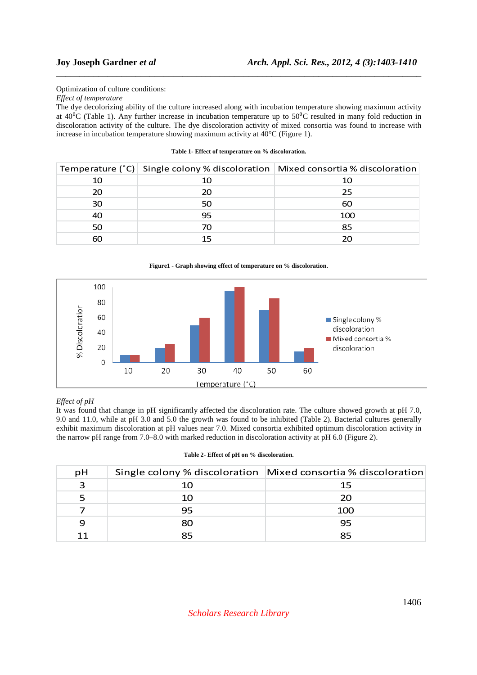Optimization of culture conditions:

*Effect of temperature* 

The dye decolorizing ability of the culture increased along with incubation temperature showing maximum activity at  $40\textdegree$ C (Table 1). Any further increase in incubation temperature up to  $50\textdegree$ C resulted in many fold reduction in discoloration activity of the culture. The dye discoloration activity of mixed consortia was found to increase with increase in incubation temperature showing maximum activity at 40°C (Figure 1).

\_\_\_\_\_\_\_\_\_\_\_\_\_\_\_\_\_\_\_\_\_\_\_\_\_\_\_\_\_\_\_\_\_\_\_\_\_\_\_\_\_\_\_\_\_\_\_\_\_\_\_\_\_\_\_\_\_\_\_\_\_\_\_\_\_\_\_\_\_\_\_\_\_\_\_\_\_\_

### **Table 1- Effect of temperature on % discoloration.**

|    |    | Temperature (°C) Single colony % discoloration Mixed consortia % discoloration |
|----|----|--------------------------------------------------------------------------------|
| 10 |    | 10                                                                             |
| 20 | 20 | 25                                                                             |
| 30 | 50 | 60                                                                             |
| 40 | 95 | 100                                                                            |
| 50 |    | 85                                                                             |
| 60 |    |                                                                                |



# *Effect of pH*

It was found that change in pH significantly affected the discoloration rate. The culture showed growth at pH 7.0, 9.0 and 11.0, while at pH 3.0 and 5.0 the growth was found to be inhibited (Table 2). Bacterial cultures generally exhibit maximum discoloration at pH values near 7.0. Mixed consortia exhibited optimum discoloration activity in the narrow pH range from 7.0–8.0 with marked reduction in discoloration activity at pH 6.0 (Figure 2).

### **Table 2- Effect of pH on % discoloration.**

| рH |    | Single colony % discoloration Mixed consortia % discoloration |
|----|----|---------------------------------------------------------------|
| З  | 10 | 15                                                            |
|    | 10 | 20                                                            |
|    | 95 | 100                                                           |
|    | 80 | 95                                                            |
|    | 85 | 85                                                            |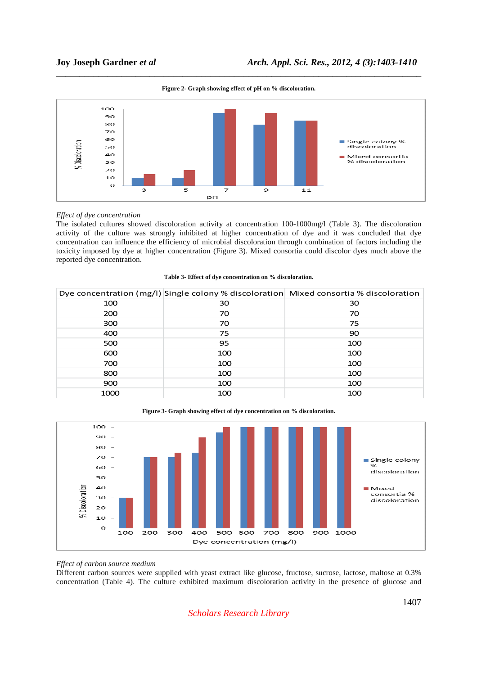

\_\_\_\_\_\_\_\_\_\_\_\_\_\_\_\_\_\_\_\_\_\_\_\_\_\_\_\_\_\_\_\_\_\_\_\_\_\_\_\_\_\_\_\_\_\_\_\_\_\_\_\_\_\_\_\_\_\_\_\_\_\_\_\_\_\_\_\_\_\_\_\_\_\_\_\_\_\_ **Figure 2- Graph showing effect of pH on % discoloration.** 

## *Effect of dye concentration*

The isolated cultures showed discoloration activity at concentration 100-1000mg/l (Table 3). The discoloration activity of the culture was strongly inhibited at higher concentration of dye and it was concluded that dye concentration can influence the efficiency of microbial discoloration through combination of factors including the toxicity imposed by dye at higher concentration (Figure 3). Mixed consortia could discolor dyes much above the reported dye concentration.

|      |     | Dye concentration (mg/l) Single colony % discoloration Mixed consortia % discoloration |
|------|-----|----------------------------------------------------------------------------------------|
| 100  | 30  | 30                                                                                     |
| 200  | 70  | 70                                                                                     |
| 300  | 70  | 75                                                                                     |
| 400  | 75  | 90                                                                                     |
| 500  | 95  | 100                                                                                    |
| 600  | 100 | 100                                                                                    |
| 700  | 100 | 100                                                                                    |
| 800  | 100 | 100                                                                                    |
| 900  | 100 | 100                                                                                    |
| 1000 | 100 | 100                                                                                    |





### *Effect of carbon source medium*

Different carbon sources were supplied with yeast extract like glucose, fructose, sucrose, lactose, maltose at 0.3% concentration (Table 4). The culture exhibited maximum discoloration activity in the presence of glucose and

# *Scholars Research Library*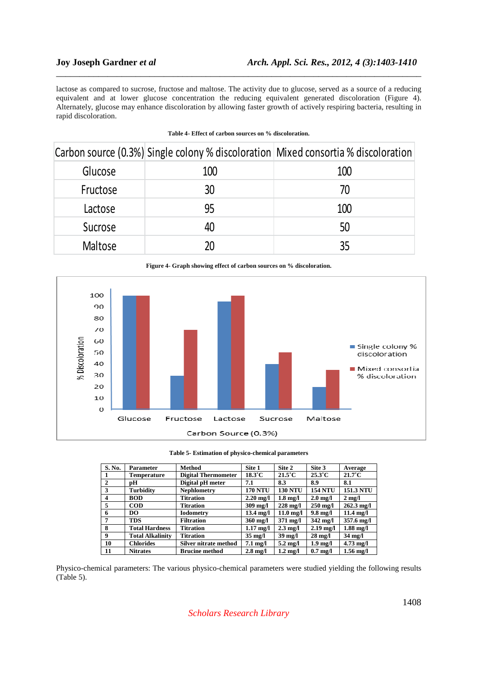lactose as compared to sucrose, fructose and maltose. The activity due to glucose, served as a source of a reducing equivalent and at lower glucose concentration the reducing equivalent generated discoloration (Figure 4). Alternately, glucose may enhance discoloration by allowing faster growth of actively respiring bacteria, resulting in rapid discoloration.

\_\_\_\_\_\_\_\_\_\_\_\_\_\_\_\_\_\_\_\_\_\_\_\_\_\_\_\_\_\_\_\_\_\_\_\_\_\_\_\_\_\_\_\_\_\_\_\_\_\_\_\_\_\_\_\_\_\_\_\_\_\_\_\_\_\_\_\_\_\_\_\_\_\_\_\_\_\_

|          |     | Carbon source (0.3%) Single colony % discoloration Mixed consortia % discoloration |
|----------|-----|------------------------------------------------------------------------------------|
| Glucose  | 100 | 100                                                                                |
| Fructose | 30  | 70                                                                                 |
| Lactose  | 95  | 100                                                                                |
| Sucrose  | 40  | 50                                                                                 |
| Maltose  | 7Λ  | 35                                                                                 |

### **Table 4- Effect of carbon sources on % discoloration.**



**Table 5- Estimation of physico-chemical parameters** 

| S. No.       | <b>Parameter</b>        | <b>Method</b>              | Site 1              | Site 2              | Site 3             | Average              |
|--------------|-------------------------|----------------------------|---------------------|---------------------|--------------------|----------------------|
|              | <b>Temperature</b>      | <b>Digital Thermometer</b> | $18.3^{\circ}$ C    | $21.5^{\circ}$ C    | $25.3^{\circ}$ C   | $21.7^{\circ}$ C     |
| $\mathbf{2}$ | рH                      | Digital pH meter           | 7.1                 | 8.3                 | 8.9                | 8.1                  |
| 3            | Turbidity               | <b>Nephlometry</b>         | <b>170 NTU</b>      | <b>130 NTU</b>      | <b>154 NTU</b>     | <b>151.3 NTU</b>     |
| 4            | <b>BOD</b>              | <b>Titration</b>           | $2.20$ mg/l         | $1.8 \text{ mg}/l$  | $2.0 \text{ mg/l}$ | $2 \text{ mg}/l$     |
| 5            | <b>COD</b>              | <b>Titration</b>           | $309 \text{ mg}/1$  | $228 \text{ mg/l}$  | $250 \text{ mg/l}$ | $262.3 \text{ mg}/l$ |
| 6            | DO                      | <b>Iodometry</b>           | $13.4 \text{ mg/l}$ | $11.0 \text{ mg}/1$ | $9.8 \text{ mg}/l$ | $11.4 \text{ mg}/l$  |
| 7            | TDS                     | <b>Filtration</b>          | $360 \text{ mg}/1$  | $371 \text{ mg/l}$  | $342 \text{ mg}/1$ | 357.6 mg/l           |
| 8            | <b>Total Hardness</b>   | <b>Titration</b>           | $1.17 \text{ mg/l}$ | $2.3 \text{ mg}/l$  | $2.19$ mg/l        | $1.88$ mg/l          |
| 9            | <b>Total Alkalinity</b> | <b>Titration</b>           | $35 \text{ mg/l}$   | $39 \text{ mg}/l$   | $28 \text{ mg}/1$  | $34 \text{ mg}/l$    |
| 10           | <b>Chlorides</b>        | Silver nitrate method      | $7.1 \text{ mg/l}$  | $5.2 \text{ mg}/l$  | $1.9 \text{ mg/l}$ | $4.73 \text{ mg}/1$  |
| 11           | <b>Nitrates</b>         | <b>Brucine method</b>      | $2.8 \text{ mg}/l$  | $1.2 \text{ mg}/1$  | $0.7 \text{ mg}/l$ | $1.56$ mg/l          |

Physico-chemical parameters: The various physico-chemical parameters were studied yielding the following results (Table 5).

# *Scholars Research Library*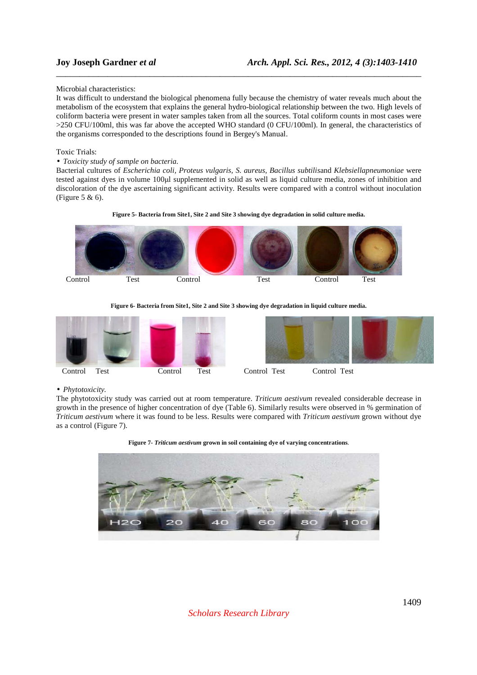### Microbial characteristics:

It was difficult to understand the biological phenomena fully because the chemistry of water reveals much about the metabolism of the ecosystem that explains the general hydro-biological relationship between the two. High levels of coliform bacteria were present in water samples taken from all the sources. Total coliform counts in most cases were >250 CFU/100ml, this was far above the accepted WHO standard (0 CFU/100ml). In general, the characteristics of the organisms corresponded to the descriptions found in Bergey's Manual.

\_\_\_\_\_\_\_\_\_\_\_\_\_\_\_\_\_\_\_\_\_\_\_\_\_\_\_\_\_\_\_\_\_\_\_\_\_\_\_\_\_\_\_\_\_\_\_\_\_\_\_\_\_\_\_\_\_\_\_\_\_\_\_\_\_\_\_\_\_\_\_\_\_\_\_\_\_\_

### Toxic Trials:

### • *Toxicity study of sample on bacteria.*

Bacterial cultures of *Escherichia coli, Proteus vulgaris, S. aureus, Bacillus subtilis*and *Klebsiellapneumoniae* were tested against dyes in volume 100µl supplemented in solid as well as liquid culture media, zones of inhibition and discoloration of the dye ascertaining significant activity. Results were compared with a control without inoculation (Figure 5 & 6).





### **Figure 6- Bacteria from Site1, Site 2 and Site 3 showing dye degradation in liquid culture media.**





# • *Phytotoxicity.*

The phytotoxicity study was carried out at room temperature. *Triticum aestivum* revealed considerable decrease in growth in the presence of higher concentration of dye (Table 6). Similarly results were observed in % germination of *Triticum aestivum* where it was found to be less. Results were compared with *Triticum aestivum* grown without dye as a control (Figure 7).